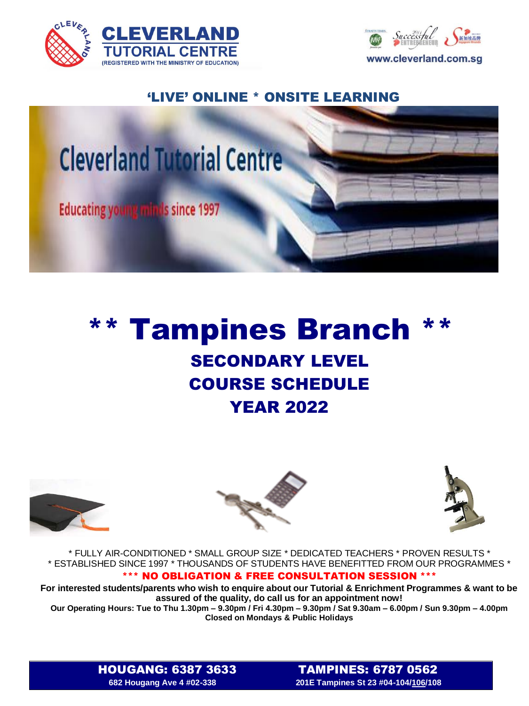



## 'LIVE' ONLINE \* ONSITE LEARNING



## \*\* Tampines Branch \*\* SECONDARY LEVEL COURSE SCHEDULE YEAR 2022







\* FULLY AIR-CONDITIONED \* SMALL GROUP SIZE \* DEDICATED TEACHERS \* PROVEN RESULTS \* \* ESTABLISHED SINCE 1997 \* THOUSANDS OF STUDENTS HAVE BENEFITTED FROM OUR PROGRAMMES \*

## \*\*\* NO OBLIGATION & FREE CONSULTATION SESSION \*\*\*

**For interested students/parents who wish to enquire about our Tutorial & Enrichment Programmes & want to be assured of the quality, do call us for an appointment now!**

**Our Operating Hours: Tue to Thu 1.30pm – 9.30pm / Fri 4.30pm – 9.30pm / Sat 9.30am – 6.00pm / Sun 9.30pm – 4.00pm Closed on Mondays & Public Holidays**

HOUGANG: 6387 3633TAMPINES: 6787 0562 **682 Hougang Ave 4 #02-338 201E Tampines St 23 #04-104/106/108**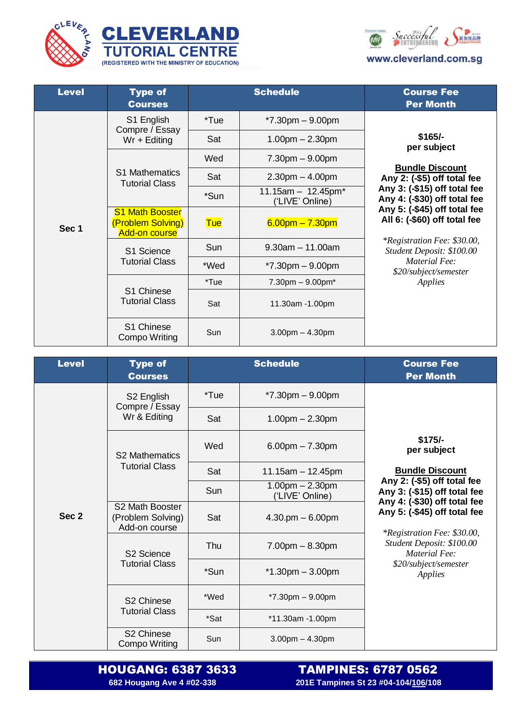





| <b>Level</b> | <b>Type of</b><br><b>Courses</b>                                    | <b>Schedule</b> |                                         | <b>Course Fee</b><br><b>Per Month</b>                                                                                                                                                                                                                                                                                                      |
|--------------|---------------------------------------------------------------------|-----------------|-----------------------------------------|--------------------------------------------------------------------------------------------------------------------------------------------------------------------------------------------------------------------------------------------------------------------------------------------------------------------------------------------|
| Sec 1        | S1 English<br>Compre / Essay<br>$Wr + Editing$                      | *Tue            | $*7.30$ pm $-9.00$ pm                   | $$165/-$<br>per subject<br><b>Bundle Discount</b><br>Any 2: (-\$5) off total fee<br>Any 3: (-\$15) off total fee<br>Any 4: (-\$30) off total fee<br>Any $5:$ (-\$45) off total fee<br>All 6: (-\$60) off total fee<br><i>*Registration Fee: \$30.00,</i><br>Student Deposit: \$100.00<br>Material Fee:<br>\$20/subject/semester<br>Applies |
|              |                                                                     | Sat             | $1.00pm - 2.30pm$                       |                                                                                                                                                                                                                                                                                                                                            |
|              | <b>S1 Mathematics</b><br><b>Tutorial Class</b>                      | Wed             | $7.30pm - 9.00pm$                       |                                                                                                                                                                                                                                                                                                                                            |
|              |                                                                     | Sat             | $2.30pm - 4.00pm$                       |                                                                                                                                                                                                                                                                                                                                            |
|              |                                                                     | *Sun            | $11.15am - 12.45pm*$<br>('LIVE' Online) |                                                                                                                                                                                                                                                                                                                                            |
|              | <b>S1 Math Booster</b><br>(Problem Solving)<br><b>Add-on course</b> | <b>Tue</b>      | $6.00$ pm $- 7.30$ pm                   |                                                                                                                                                                                                                                                                                                                                            |
|              | S1 Science<br><b>Tutorial Class</b>                                 | Sun             | $9.30$ am $-11.00$ am                   |                                                                                                                                                                                                                                                                                                                                            |
|              |                                                                     | *Wed            | $*7.30 \text{pm} - 9.00 \text{pm}$      |                                                                                                                                                                                                                                                                                                                                            |
|              | S1 Chinese<br><b>Tutorial Class</b>                                 | *Tue            | $7.30$ pm $-9.00$ pm $*$                |                                                                                                                                                                                                                                                                                                                                            |
|              |                                                                     | Sat             | 11.30am -1.00pm                         |                                                                                                                                                                                                                                                                                                                                            |
|              | S1 Chinese<br><b>Compo Writing</b>                                  | Sun             | $3.00pm - 4.30pm$                       |                                                                                                                                                                                                                                                                                                                                            |

| <b>Level</b>     | <b>Type of</b><br><b>Courses</b>                         | <b>Schedule</b> |                                      | <b>Course Fee</b><br><b>Per Month</b>                                                                                                                                                                                                                                                                    |
|------------------|----------------------------------------------------------|-----------------|--------------------------------------|----------------------------------------------------------------------------------------------------------------------------------------------------------------------------------------------------------------------------------------------------------------------------------------------------------|
|                  | S <sub>2</sub> English<br>Compre / Essay<br>Wr & Editing | *Tue            | $*7.30$ pm $-9.00$ pm                |                                                                                                                                                                                                                                                                                                          |
|                  |                                                          | Sat             | $1.00pm - 2.30pm$                    |                                                                                                                                                                                                                                                                                                          |
|                  | <b>S2 Mathematics</b><br><b>Tutorial Class</b>           | Wed             | $6.00$ pm $- 7.30$ pm                | $$175/-$<br>per subject<br><b>Bundle Discount</b><br>Any 2: (-\$5) off total fee<br>Any 3: (-\$15) off total fee<br>Any 4: (-\$30) off total fee<br>Any 5: (-\$45) off total fee<br><i>*Registration Fee: \$30.00,</i><br>Student Deposit: \$100.00<br>Material Fee:<br>\$20/subject/semester<br>Applies |
|                  |                                                          | Sat             | 11.15am $-$ 12.45pm                  |                                                                                                                                                                                                                                                                                                          |
| Sec <sub>2</sub> |                                                          | Sun             | $1.00pm - 2.30pm$<br>('LIVE' Online) |                                                                                                                                                                                                                                                                                                          |
|                  | S2 Math Booster<br>(Problem Solving)<br>Add-on course    | Sat             | $4.30$ .pm $-6.00$ pm                |                                                                                                                                                                                                                                                                                                          |
|                  | S <sub>2</sub> Science<br><b>Tutorial Class</b>          | Thu             | $7.00pm - 8.30pm$                    |                                                                                                                                                                                                                                                                                                          |
|                  |                                                          | *Sun            | $*1.30$ pm $-3.00$ pm                |                                                                                                                                                                                                                                                                                                          |
|                  | S <sub>2</sub> Chinese<br><b>Tutorial Class</b>          | *Wed            | $*7.30$ pm $-9.00$ pm                |                                                                                                                                                                                                                                                                                                          |
|                  |                                                          | *Sat            | *11.30am -1.00pm                     |                                                                                                                                                                                                                                                                                                          |
|                  | S <sub>2</sub> Chinese<br><b>Compo Writing</b>           | Sun             | $3.00$ pm $- 4.30$ pm                |                                                                                                                                                                                                                                                                                                          |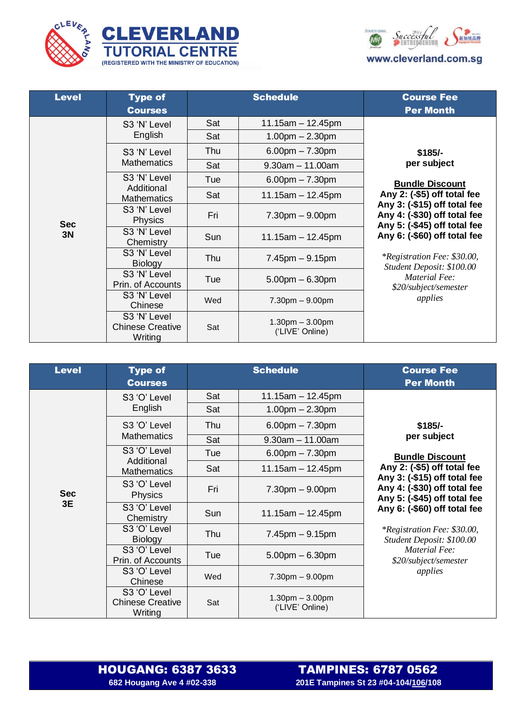





| <b>Level</b>     | <b>Type of</b><br><b>Courses</b>                   |     | <b>Schedule</b>                      | <b>Course Fee</b><br><b>Per Month</b>                                                                                                                                                                                                                                                      |
|------------------|----------------------------------------------------|-----|--------------------------------------|--------------------------------------------------------------------------------------------------------------------------------------------------------------------------------------------------------------------------------------------------------------------------------------------|
|                  | S3 'N' Level<br>English                            | Sat | $11.15$ am $-12.45$ pm               | $$185/-$<br>per subject                                                                                                                                                                                                                                                                    |
|                  |                                                    | Sat | $1.00pm - 2.30pm$                    |                                                                                                                                                                                                                                                                                            |
|                  | S3 'N' Level                                       | Thu | $6.00$ pm $- 7.30$ pm                |                                                                                                                                                                                                                                                                                            |
|                  | <b>Mathematics</b>                                 | Sat | $9.30$ am $-11.00$ am                |                                                                                                                                                                                                                                                                                            |
|                  | S3 'N' Level                                       | Tue | $6.00$ pm $- 7.30$ pm                | <b>Bundle Discount</b>                                                                                                                                                                                                                                                                     |
|                  | Additional<br><b>Mathematics</b>                   | Sat | 11.15am $-$ 12.45pm                  | Any 2: (-\$5) off total fee<br>Any 3: (-\$15) off total fee<br>Any 4: (-\$30) off total fee<br>Any 5: (-\$45) off total fee<br>Any 6: (-\$60) off total fee<br><i>*Registration Fee: \$30.00,</i><br>Student Deposit: \$100.00<br><b>Material Fee:</b><br>\$20/subject/semester<br>applies |
| <b>Sec</b><br>3N | S3 'N' Level<br><b>Physics</b>                     | Fri | $7.30pm - 9.00pm$                    |                                                                                                                                                                                                                                                                                            |
|                  | S3 'N' Level<br>Chemistry                          | Sun | $11.15$ am $- 12.45$ pm              |                                                                                                                                                                                                                                                                                            |
|                  | S3 'N' Level<br><b>Biology</b>                     | Thu | $7.45$ pm $-9.15$ pm                 |                                                                                                                                                                                                                                                                                            |
|                  | S3 'N' Level<br>Prin. of Accounts                  | Tue | $5.00$ pm $- 6.30$ pm                |                                                                                                                                                                                                                                                                                            |
|                  | S3 'N' Level<br>Chinese                            | Wed | $7.30pm - 9.00pm$                    |                                                                                                                                                                                                                                                                                            |
|                  | S3 'N' Level<br><b>Chinese Creative</b><br>Writing | Sat | $1.30pm - 3.00pm$<br>('LIVE' Online) |                                                                                                                                                                                                                                                                                            |

| <b>Level</b>     | <b>Type of</b><br><b>Courses</b>                   | <b>Schedule</b> |                                      | <b>Course Fee</b><br><b>Per Month</b>                                                                                                                                                                                                                                                                                                    |
|------------------|----------------------------------------------------|-----------------|--------------------------------------|------------------------------------------------------------------------------------------------------------------------------------------------------------------------------------------------------------------------------------------------------------------------------------------------------------------------------------------|
|                  | S3 'O' Level<br>English                            | Sat             | $11.15$ am $-12.45$ pm               | $$185/-$<br>per subject<br><b>Bundle Discount</b><br>Any 2: (-\$5) off total fee<br>Any 3: (-\$15) off total fee<br>Any 4: (-\$30) off total fee<br>Any 5: (-\$45) off total fee<br>Any 6: (-\$60) off total fee<br><i>*Registration Fee: \$30.00,</i><br>Student Deposit: \$100.00<br>Material Fee:<br>\$20/subject/semester<br>applies |
|                  |                                                    | Sat             | $1.00pm - 2.30pm$                    |                                                                                                                                                                                                                                                                                                                                          |
|                  | S3 'O' Level                                       | Thu             | $6.00$ pm $- 7.30$ pm                |                                                                                                                                                                                                                                                                                                                                          |
|                  | <b>Mathematics</b>                                 | Sat             | $9.30$ am $-11.00$ am                |                                                                                                                                                                                                                                                                                                                                          |
|                  | S3 'O' Level<br>Additional                         | Tue             | $6.00$ pm $- 7.30$ pm                |                                                                                                                                                                                                                                                                                                                                          |
|                  | <b>Mathematics</b>                                 | Sat             | $11.15$ am $-12.45$ pm               |                                                                                                                                                                                                                                                                                                                                          |
| <b>Sec</b><br>3E | S3 'O' Level<br><b>Physics</b>                     | Fri             | $7.30pm - 9.00pm$                    |                                                                                                                                                                                                                                                                                                                                          |
|                  | S3 'O' Level<br>Chemistry                          | Sun             | $11.15$ am $- 12.45$ pm              |                                                                                                                                                                                                                                                                                                                                          |
|                  | S3 'O' Level<br><b>Biology</b>                     | Thu             | $7.45$ pm $-9.15$ pm                 |                                                                                                                                                                                                                                                                                                                                          |
|                  | S3 'O' Level<br>Prin. of Accounts                  | Tue             | $5.00pm - 6.30pm$                    |                                                                                                                                                                                                                                                                                                                                          |
|                  | S3 'O' Level<br>Chinese                            | Wed             | $7.30pm - 9.00pm$                    |                                                                                                                                                                                                                                                                                                                                          |
|                  | S3 'O' Level<br><b>Chinese Creative</b><br>Writing | Sat             | $1.30pm - 3.00pm$<br>('LIVE' Online) |                                                                                                                                                                                                                                                                                                                                          |